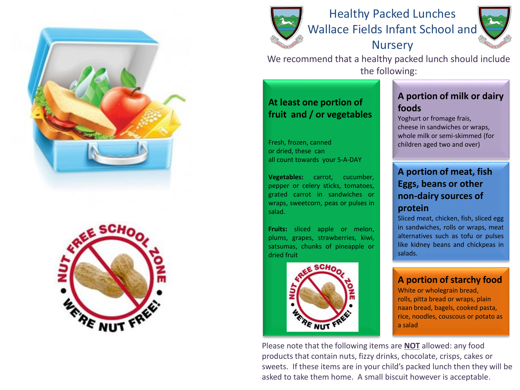





Healthy Packed Lunches Wallace Fields Infant School and **Nursery** 



We recommend that a healthy packed lunch should include the following:

# **At least one portion of fruit and / or vegetables**

Fresh, frozen, canned or dried, these can all count towards your 5-A-DAY

**Vegetables:** carrot, cucumber, pepper or celery sticks, tomatoes, grated carrot in sandwiches or wraps, sweetcorn, peas or pulses in salad.

**Fruits:** sliced apple or melon, plums, grapes, strawberries, kiwi, satsumas, chunks of pineapple or dried fruit



## **A portion of milk or dairy foods**

Yoghurt or fromage frais, cheese in sandwiches or wraps, whole milk or semi-skimmed (for children aged two and over)

# **A portion of meat, fish Eggs, beans or other non-dairy sources of protein**

Sliced meat, chicken, fish, sliced egg in sandwiches, rolls or wraps, meat alternatives such as tofu or pulses like kidney beans and chickpeas in salads.

### **A portion of starchy food**

White or wholegrain bread, rolls, pitta bread or wraps, plain naan bread, bagels, cooked pasta, rice, noodles, couscous or potato as a salad

Please note that the following items are **NOT** allowed: any food products that contain nuts, fizzy drinks, chocolate, crisps, cakes or sweets. If these items are in your child's packed lunch then they will be asked to take them home. A small biscuit however is acceptable.